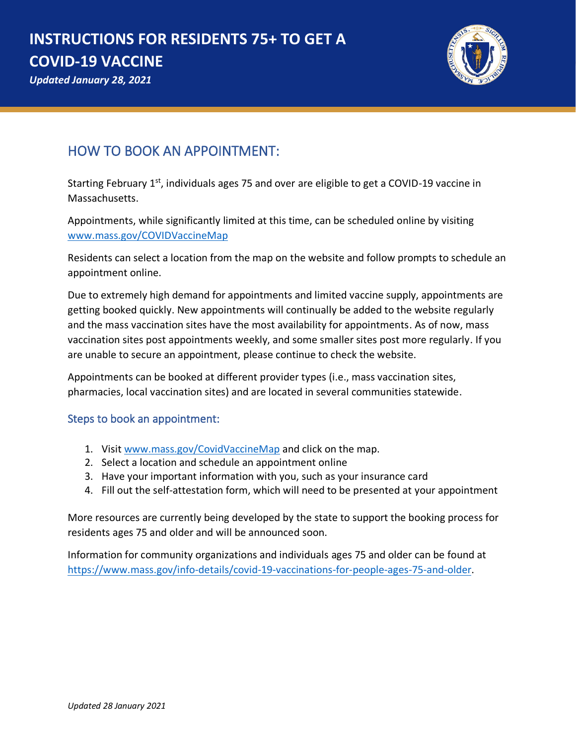# **INSTRUCTIONS FOR RESIDENTS 75+ TO GET A COVID-19 VACCINE**





*Updated January 28, 2021*

## HOW TO BOOK AN APPOINTMENT:

Starting February  $1<sup>st</sup>$ , individuals ages 75 and over are eligible to get a COVID-19 vaccine in Massachusetts.

Appointments, while significantly limited at this time, can be scheduled online by visiting [www.mass.gov/COVIDVaccineMap](http://www.mass.gov/COVIDVaccineMap)

Residents can select a location from the map on the website and follow prompts to schedule an appointment online.

Due to extremely high demand for appointments and limited vaccine supply, appointments are getting booked quickly. New appointments will continually be added to the website regularly and the mass vaccination sites have the most availability for appointments. As of now, mass vaccination sites post appointments weekly, and some smaller sites post more regularly. If you are unable to secure an appointment, please continue to check the website.

Appointments can be booked at different provider types (i.e., mass vaccination sites, pharmacies, local vaccination sites) and are located in several communities statewide.

### Steps to book an appointment:

- 1. Visi[t www.mass.gov/CovidVaccineMap](http://www.mass.gov/CovidVaccineMap) and click on the map.
- 2. Select a location and schedule an appointment online
- 3. Have your important information with you, such as your insurance card
- 4. Fill out the self-attestation form, which will need to be presented at your appointment

More resources are currently being developed by the state to support the booking process for residents ages 75 and older and will be announced soon.

Information for community organizations and individuals ages 75 and older can be found at [https://www.mass.gov/info-details/covid-19-vaccinations-for-people-ages-75-and-older.](https://www.mass.gov/info-details/covid-19-vaccinations-for-people-ages-75-and-older)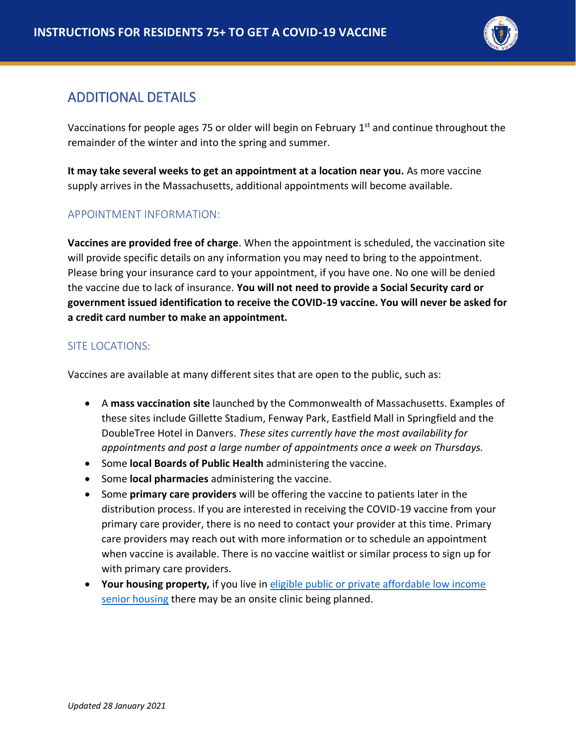

## ADDITIONAL DETAILS

Vaccinations for people ages 75 or older will begin on February  $1<sup>st</sup>$  and continue throughout the remainder of the winter and into the spring and summer.

**It may take several weeks to get an appointment at a location near you.** As more vaccine supply arrives in the Massachusetts, additional appointments will become available.

#### APPOINTMENT INFORMATION:

**Vaccines are provided free of charge**. When the appointment is scheduled, the vaccination site will provide specific details on any information you may need to bring to the appointment. Please bring your insurance card to your appointment, if you have one. No one will be denied the vaccine due to lack of insurance. **You will not need to provide a Social Security card or government issued identification to receive the COVID-19 vaccine. You will never be asked for a credit card number to make an appointment.**

#### SITE LOCATIONS:

Vaccines are available at many different sites that are open to the public, such as:

- A **mass vaccination site** launched by the Commonwealth of Massachusetts. Examples of these sites include Gillette Stadium, Fenway Park, Eastfield Mall in Springfield and the DoubleTree Hotel in Danvers. *These sites currently have the most availability for appointments and post a large number of appointments once a week on Thursdays.*
- Some **local Boards of Public Health** administering the vaccine.
- Some **local pharmacies** administering the vaccine.
- Some **primary care providers** will be offering the vaccine to patients later in the distribution process. If you are interested in receiving the COVID-19 vaccine from your primary care provider, there is no need to contact your provider at this time. Primary care providers may reach out with more information or to schedule an appointment when vaccine is available. There is no vaccine waitlist or similar process to sign up for with primary care providers.
- **Your housing property,** if you live in [eligible public or private affordable low income](https://www.mass.gov/info-details/covid-19-vaccinations-for-senior-housing-settings)  [senior housing](https://www.mass.gov/info-details/covid-19-vaccinations-for-senior-housing-settings) there may be an onsite clinic being planned.